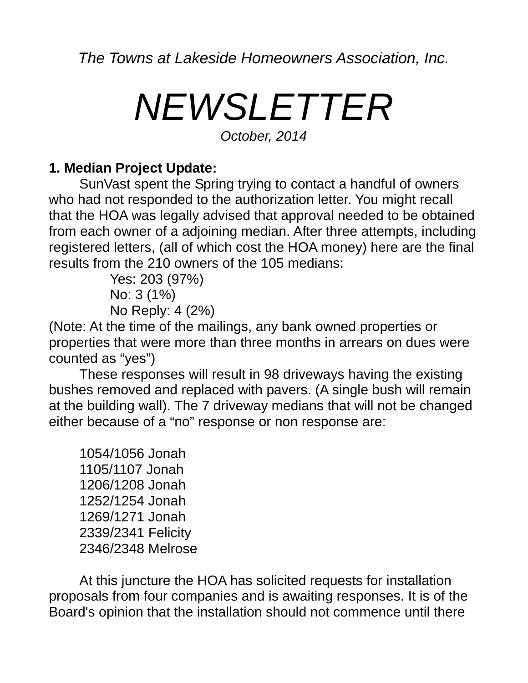*The Towns at Lakeside Homeowners Association, Inc.*

## *NEWSLETTER*

*October, 2014*

## **1. Median Project Update:**

SunVast spent the Spring trying to contact a handful of owners who had not responded to the authorization letter. You might recall that the HOA was legally advised that approval needed to be obtained from each owner of a adjoining median. After three attempts, including registered letters, (all of which cost the HOA money) here are the final results from the 210 owners of the 105 medians:

> Yes: 203 (97%) No: 3 (1%) No Reply: 4 (2%)

(Note: At the time of the mailings, any bank owned properties or properties that were more than three months in arrears on dues were counted as "yes")

These responses will result in 98 driveways having the existing bushes removed and replaced with pavers. (A single bush will remain at the building wall). The 7 driveway medians that will not be changed either because of a "no" response or non response are:

1054/1056 Jonah 1105/1107 Jonah 1206/1208 Jonah 1252/1254 Jonah 1269/1271 Jonah 2339/2341 Felicity 2346/2348 Melrose

At this juncture the HOA has solicited requests for installation proposals from four companies and is awaiting responses. It is of the Board's opinion that the installation should not commence until there